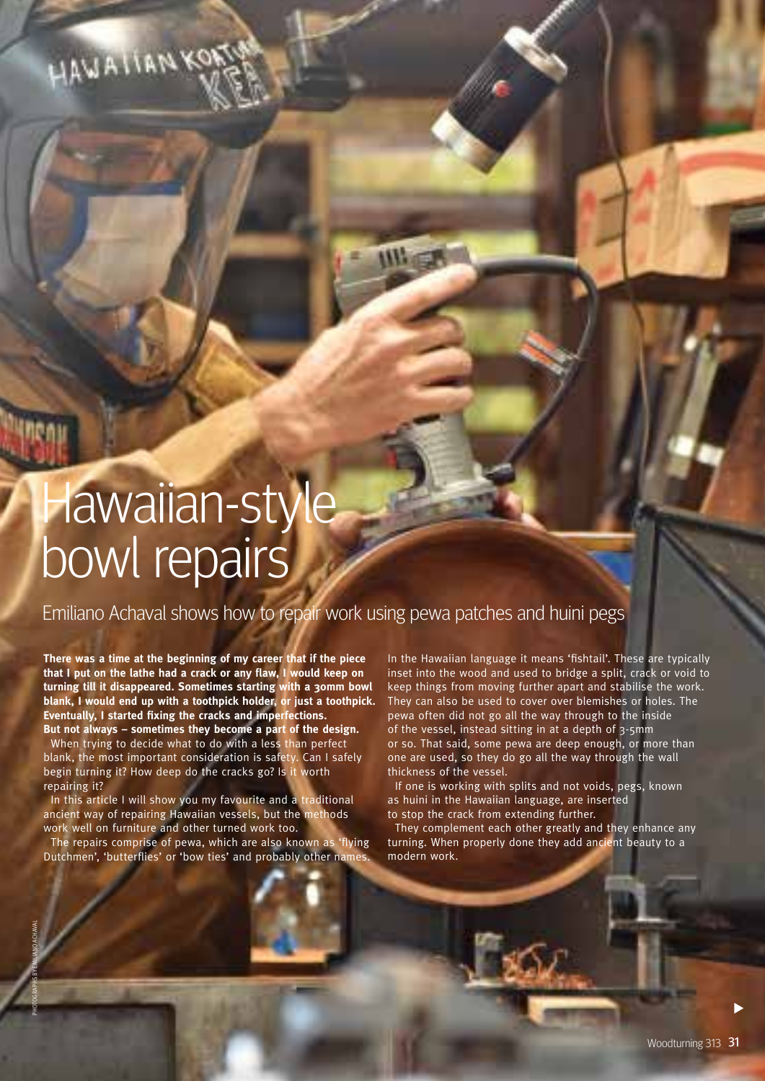HAWAIIANKON

Hawaiian-style bowl repairs

Emiliano Achaval shows how to repair work using pewa patches and huini pegs

**There was a time at the beginning of my career that if the piece that I put on the lathe had a crack or any flaw, I would keep on turning till it disappeared. Sometimes starting with a 30mm bowl blank, I would end up with a toothpick holder, or just a toothpick. Eventually, I started fixing the cracks and imperfections. But not always – sometimes they become a part of the design.**  When trying to decide what to do with a less than perfect blank, the most important consideration is safety. Can I safely begin turning it? How deep do the cracks go? Is it worth repairing it?

In this article I will show you my favourite and a traditional ancient way of repairing Hawaiian vessels, but the methods work well on furniture and other turned work too.

The repairs comprise of pewa, which are also known as 'flying Dutchmen', 'butterflies' or 'bow ties' and probably other names.

In the Hawaiian language it means 'fishtail'. These are typically inset into the wood and used to bridge a split, crack or void to keep things from moving further apart and stabilise the work. They can also be used to cover over blemishes or holes. The pewa often did not go all the way through to the inside of the vessel, instead sitting in at a depth of 3-5mm or so. That said, some pewa are deep enough, or more than one are used, so they do go all the way through the wall thickness of the vessel.

If one is working with splits and not voids, pegs, known as huini in the Hawaiian language, are inserted to stop the crack from extending further.

They complement each other greatly and they enhance any turning. When properly done they add ancient beauty to a modern work.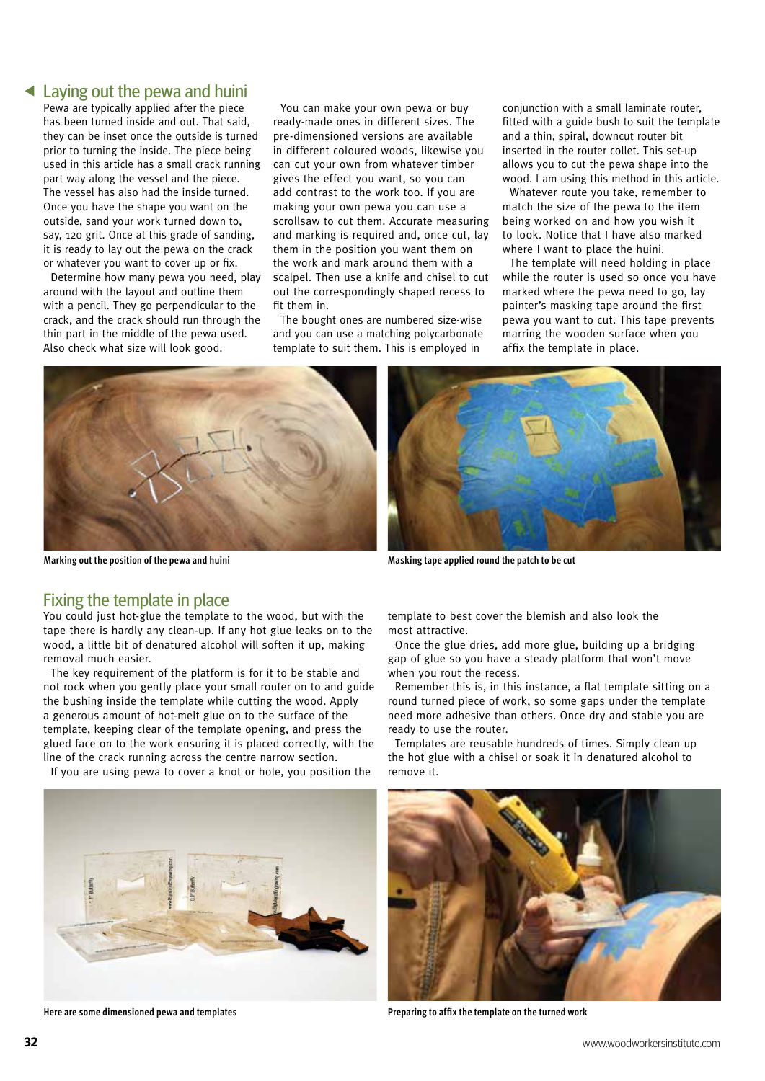## Laying out the pewa and huini

Pewa are typically applied after the piece has been turned inside and out. That said, they can be inset once the outside is turned prior to turning the inside. The piece being used in this article has a small crack running part way along the vessel and the piece. The vessel has also had the inside turned. Once you have the shape you want on the outside, sand your work turned down to, say, 120 grit. Once at this grade of sanding, it is ready to lay out the pewa on the crack or whatever you want to cover up or fix.

Determine how many pewa you need, play around with the layout and outline them with a pencil. They go perpendicular to the crack, and the crack should run through the thin part in the middle of the pewa used. Also check what size will look good.

You can make your own pewa or buy ready-made ones in different sizes. The pre-dimensioned versions are available in different coloured woods, likewise you can cut your own from whatever timber gives the effect you want, so you can add contrast to the work too. If you are making your own pewa you can use a scrollsaw to cut them. Accurate measuring and marking is required and, once cut, lay them in the position you want them on the work and mark around them with a scalpel. Then use a knife and chisel to cut out the correspondingly shaped recess to fit them in.

The bought ones are numbered size-wise and you can use a matching polycarbonate template to suit them. This is employed in

conjunction with a small laminate router, fitted with a guide bush to suit the template and a thin, spiral, downcut router bit inserted in the router collet. This set-up allows you to cut the pewa shape into the wood. I am using this method in this article.

Whatever route you take, remember to match the size of the pewa to the item being worked on and how you wish it to look. Notice that I have also marked where I want to place the huini.

The template will need holding in place while the router is used so once you have marked where the pewa need to go, lay painter's masking tape around the first pewa you want to cut. This tape prevents marring the wooden surface when you affix the template in place.



**Marking out the position of the pewa and huini**



**Masking tape applied round the patch to be cut**

#### Fixing the template in place

You could just hot-glue the template to the wood, but with the tape there is hardly any clean-up. If any hot glue leaks on to the wood, a little bit of denatured alcohol will soften it up, making removal much easier.

The key requirement of the platform is for it to be stable and not rock when you gently place your small router on to and guide the bushing inside the template while cutting the wood. Apply a generous amount of hot-melt glue on to the surface of the template, keeping clear of the template opening, and press the glued face on to the work ensuring it is placed correctly, with the line of the crack running across the centre narrow section.

If you are using pewa to cover a knot or hole, you position the



**Here are some dimensioned pewa and templates**

template to best cover the blemish and also look the most attractive.

Once the glue dries, add more glue, building up a bridging gap of glue so you have a steady platform that won't move when you rout the recess.

Remember this is, in this instance, a flat template sitting on a round turned piece of work, so some gaps under the template need more adhesive than others. Once dry and stable you are ready to use the router.

Templates are reusable hundreds of times. Simply clean up the hot glue with a chisel or soak it in denatured alcohol to remove it.



**Preparing to affix the template on the turned work**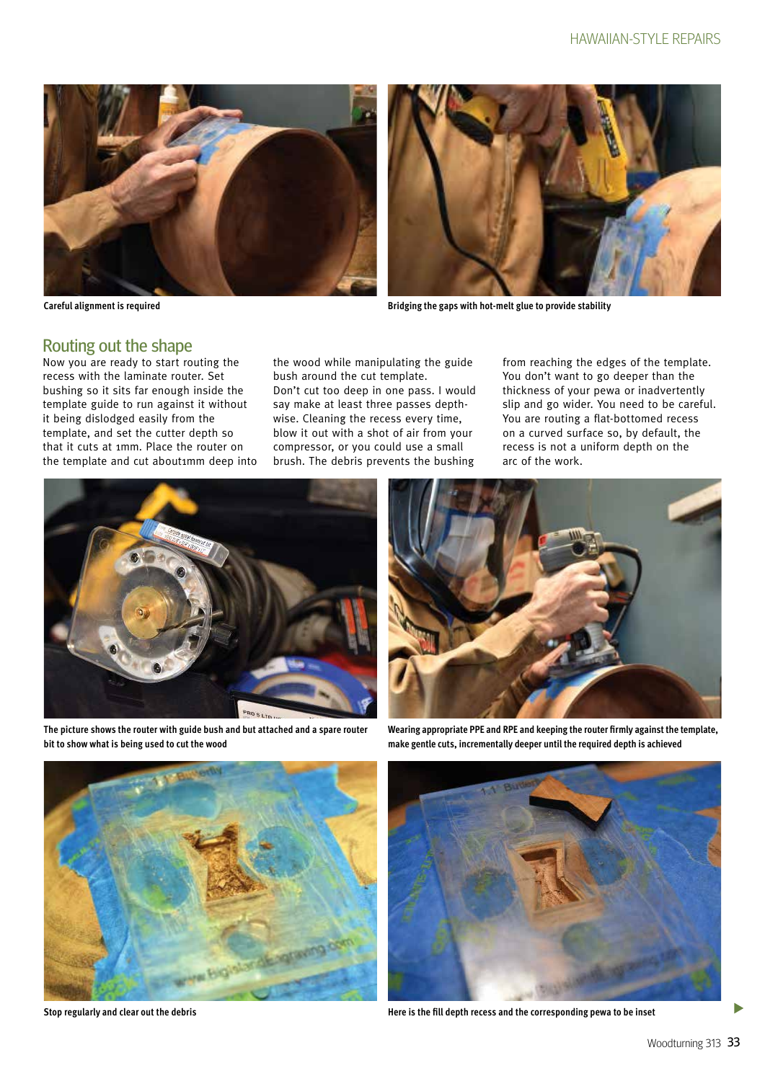



**Bridging the gaps with hot-melt glue to provide stability**

**Careful alignment is required**

### Routing out the shape

Now you are ready to start routing the recess with the laminate router. Set bushing so it sits far enough inside the template guide to run against it without it being dislodged easily from the template, and set the cutter depth so that it cuts at 1mm. Place the router on the template and cut about1mm deep into

the wood while manipulating the guide bush around the cut template. Don't cut too deep in one pass. I would say make at least three passes depthwise. Cleaning the recess every time, blow it out with a shot of air from your compressor, or you could use a small brush. The debris prevents the bushing

from reaching the edges of the template. You don't want to go deeper than the thickness of your pewa or inadvertently slip and go wider. You need to be careful. You are routing a flat-bottomed recess on a curved surface so, by default, the recess is not a uniform depth on the arc of the work.



**The picture shows the router with guide bush and but attached and a spare router bit to show what is being used to cut the wood**



**Wearing appropriate PPE and RPE and keeping the router firmly against the template, make gentle cuts, incrementally deeper until the required depth is achieved**



**Stop regularly and clear out the debris**



**Here is the fill depth recess and the corresponding pewa to be inset**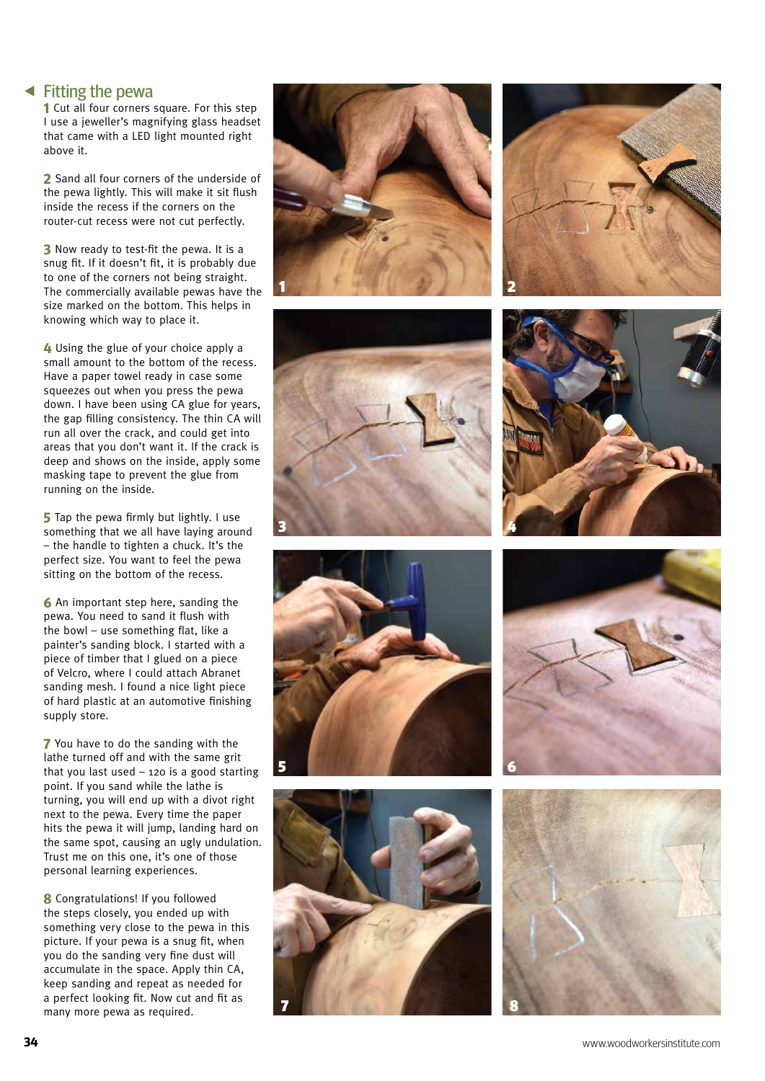Fitting the pewa

**1** Cut all four corners square. For this step I use a jeweller's magnifying glass headset that came with a LED light mounted right above it.

**2** Sand all four corners of the underside of the pewa lightly. This will make it sit flush inside the recess if the corners on the router-cut recess were not cut perfectly.

**3** Now ready to test-fit the pewa. It is a snug fit. If it doesn't fit, it is probably due to one of the corners not being straight. The commercially available pewas have the size marked on the bottom. This helps in knowing which way to place it.

**4** Using the glue of your choice apply a small amount to the bottom of the recess. Have a paper towel ready in case some squeezes out when you press the pewa down. I have been using CA glue for years, the gap filling consistency. The thin CA will run all over the crack, and could get into areas that you don't want it. If the crack is deep and shows on the inside, apply some masking tape to prevent the glue from running on the inside.

**5** Tap the pewa firmly but lightly. I use something that we all have laying around – the handle to tighten a chuck. It's the perfect size. You want to feel the pewa sitting on the bottom of the recess.

**6** An important step here, sanding the pewa. You need to sand it flush with the bowl – use something flat, like a painter's sanding block. I started with a piece of timber that I glued on a piece of Velcro, where I could attach Abranet sanding mesh. I found a nice light piece of hard plastic at an automotive finishing supply store.

**7** You have to do the sanding with the lathe turned off and with the same grit that you last used  $-$  120 is a good starting point. If you sand while the lathe is turning, you will end up with a divot right next to the pewa. Every time the paper hits the pewa it will jump, landing hard on the same spot, causing an ugly undulation. Trust me on this one, it's one of those personal learning experiences.

**8** Congratulations! If you followed the steps closely, you ended up with something very close to the pewa in this picture. If your pewa is a snug fit, when you do the sanding very fine dust will accumulate in the space. Apply thin CA, keep sanding and repeat as needed for a perfect looking fit. Now cut and fit as many more pewa as required.